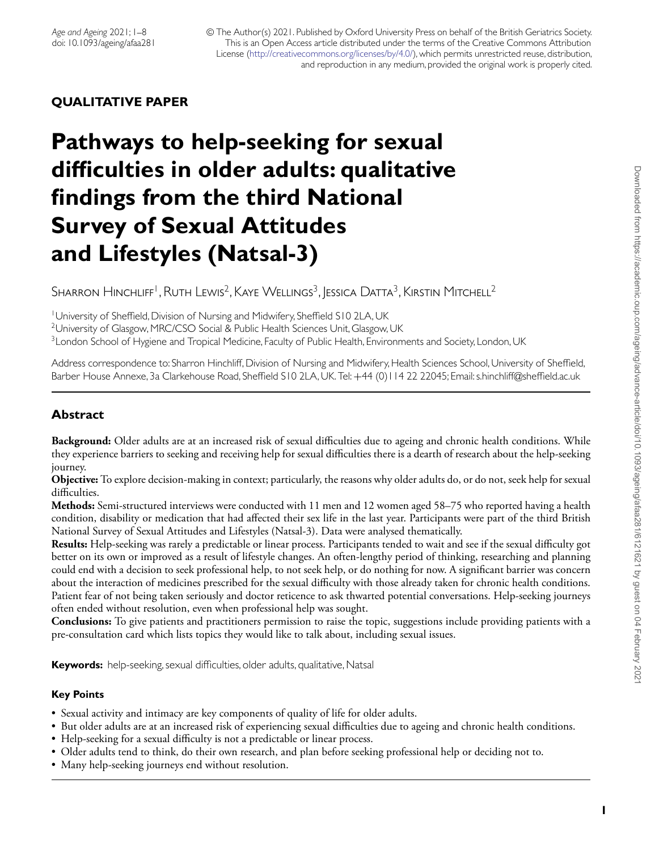# **QUALITATIVE PAPER**

# **Pathways to help-seeking for sexual difficulties in older adults: qualitative findings from the third National Survey of Sexual Attitudes and Lifestyles (Natsal-3)**

SHARRON HINCHLIFF<sup>1</sup>, RUTH LEWIS<sup>2</sup>, KAYE WELLINGS<sup>3</sup>, JESSICA DATTA<sup>3</sup>, KIRSTIN MITCHELL<sup>2</sup>

<sup>1</sup> University of Sheffield, Division of Nursing and Midwifery, Sheffield S10 2LA, UK

<sup>2</sup>University of Glasgow, MRC/CSO Social & Public Health Sciences Unit, Glasgow, UK

<sup>3</sup> London School of Hygiene and Tropical Medicine, Faculty of Public Health, Environments and Society, London, UK

Address correspondence to: Sharron Hinchliff, Division of Nursing and Midwifery, Health Sciences School, University of Sheffield, Barber House Annexe, 3a Clarkehouse Road, Sheffield S10 2LA, UK. Tel: +44 (0)114 22 22045; Email: s.hinchliff@sheffield.ac.uk

# **Abstract**

**Background:** Older adults are at an increased risk of sexual difficulties due to ageing and chronic health conditions. While they experience barriers to seeking and receiving help for sexual difficulties there is a dearth of research about the help-seeking journey.

**Objective:** To explore decision-making in context; particularly, the reasons why older adults do, or do not, seek help for sexual difficulties.

**Methods:** Semi-structured interviews were conducted with 11 men and 12 women aged 58–75 who reported having a health condition, disability or medication that had affected their sex life in the last year. Participants were part of the third British National Survey of Sexual Attitudes and Lifestyles (Natsal-3). Data were analysed thematically.

**Results:** Help-seeking was rarely a predictable or linear process. Participants tended to wait and see if the sexual difficulty got better on its own or improved as a result of lifestyle changes. An often-lengthy period of thinking, researching and planning could end with a decision to seek professional help, to not seek help, or do nothing for now. A significant barrier was concern about the interaction of medicines prescribed for the sexual difficulty with those already taken for chronic health conditions. Patient fear of not being taken seriously and doctor reticence to ask thwarted potential conversations. Help-seeking journeys often ended without resolution, even when professional help was sought.

**Conclusions:** To give patients and practitioners permission to raise the topic, suggestions include providing patients with a pre-consultation card which lists topics they would like to talk about, including sexual issues.

**Keywords:** help-seeking, sexual difficulties, older adults, qualitative, Natsal

#### **Key Points**

- Sexual activity and intimacy are key components of quality of life for older adults.
- But older adults are at an increased risk of experiencing sexual difficulties due to ageing and chronic health conditions.
- Help-seeking for a sexual difficulty is not a predictable or linear process.
- Older adults tend to think, do their own research, and plan before seeking professional help or deciding not to.
- Many help-seeking journeys end without resolution.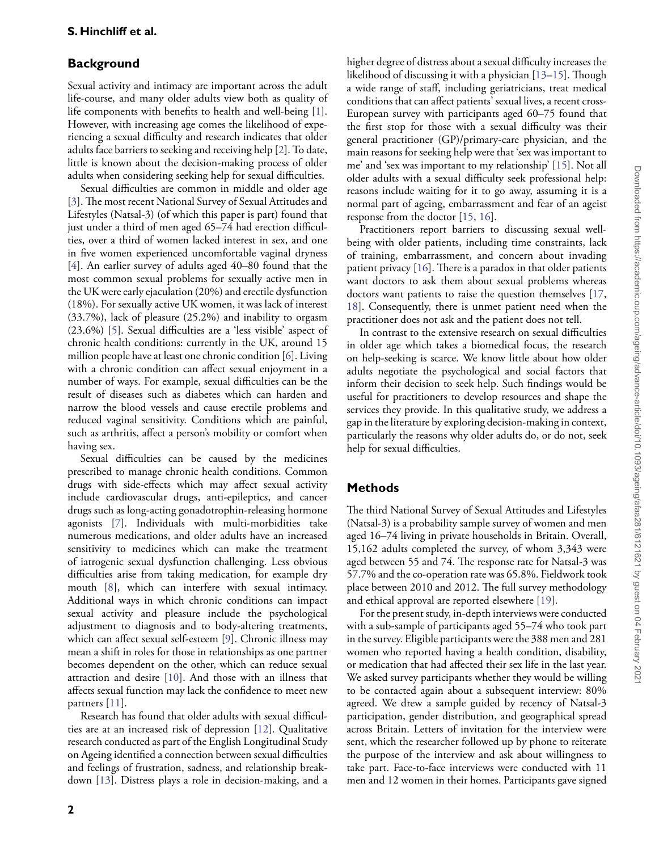## **Background**

Sexual activity and intimacy are important across the adult life-course, and many older adults view both as quality of life components with benefits to health and well-being [\[1\]](#page-6-0). However, with increasing age comes the likelihood of experiencing a sexual difficulty and research indicates that older adults face barriers to seeking and receiving help [\[2\]](#page-6-1). To date, little is known about the decision-making process of older adults when considering seeking help for sexual difficulties.

Sexual difficulties are common in middle and older age [\[3\]](#page-6-2). The most recent National Survey of Sexual Attitudes and Lifestyles (Natsal-3) (of which this paper is part) found that just under a third of men aged 65–74 had erection difficulties, over a third of women lacked interest in sex, and one in five women experienced uncomfortable vaginal dryness [\[4\]](#page-6-3). An earlier survey of adults aged 40–80 found that the most common sexual problems for sexually active men in the UK were early ejaculation (20%) and erectile dysfunction (18%). For sexually active UK women, it was lack of interest (33.7%), lack of pleasure (25.2%) and inability to orgasm (23.6%) [\[5\]](#page-7-0). Sexual difficulties are a 'less visible' aspect of chronic health conditions: currently in the UK, around 15 million people have at least one chronic condition [\[6\]](#page-7-1). Living with a chronic condition can affect sexual enjoyment in a number of ways. For example, sexual difficulties can be the result of diseases such as diabetes which can harden and narrow the blood vessels and cause erectile problems and reduced vaginal sensitivity. Conditions which are painful, such as arthritis, affect a person's mobility or comfort when having sex.

Sexual difficulties can be caused by the medicines prescribed to manage chronic health conditions. Common drugs with side-effects which may affect sexual activity include cardiovascular drugs, anti-epileptics, and cancer drugs such as long-acting gonadotrophin-releasing hormone agonists [\[7\]](#page-7-2). Individuals with multi-morbidities take numerous medications, and older adults have an increased sensitivity to medicines which can make the treatment of iatrogenic sexual dysfunction challenging. Less obvious difficulties arise from taking medication, for example dry mouth [\[8\]](#page-7-3), which can interfere with sexual intimacy. Additional ways in which chronic conditions can impact sexual activity and pleasure include the psychological adjustment to diagnosis and to body-altering treatments, which can affect sexual self-esteem [\[9\]](#page-7-4). Chronic illness may mean a shift in roles for those in relationships as one partner becomes dependent on the other, which can reduce sexual attraction and desire [\[10\]](#page-7-5). And those with an illness that affects sexual function may lack the confidence to meet new partners [\[11\]](#page-7-6).

Research has found that older adults with sexual difficulties are at an increased risk of depression [\[12\]](#page-7-7). Qualitative research conducted as part of the English Longitudinal Study on Ageing identified a connection between sexual difficulties and feelings of frustration, sadness, and relationship breakdown [\[13\]](#page-7-8). Distress plays a role in decision-making, and a higher degree of distress about a sexual difficulty increases the likelihood of discussing it with a physician [\[13](#page-7-8)[–15\]](#page-7-9). Though a wide range of staff, including geriatricians, treat medical conditions that can affect patients' sexual lives, a recent cross-European survey with participants aged 60–75 found that the first stop for those with a sexual difficulty was their general practitioner (GP)/primary-care physician, and the main reasons for seeking help were that 'sex was important to me' and 'sex was important to my relationship' [\[15\]](#page-7-9). Not all older adults with a sexual difficulty seek professional help: reasons include waiting for it to go away, assuming it is a normal part of ageing, embarrassment and fear of an ageist response from the doctor [\[15,](#page-7-9) [16\]](#page-7-10).

Practitioners report barriers to discussing sexual wellbeing with older patients, including time constraints, lack of training, embarrassment, and concern about invading patient privacy [\[16\]](#page-7-10). There is a paradox in that older patients want doctors to ask them about sexual problems whereas doctors want patients to raise the question themselves [\[17,](#page-7-11) [18\]](#page-7-12). Consequently, there is unmet patient need when the practitioner does not ask and the patient does not tell.

In contrast to the extensive research on sexual difficulties in older age which takes a biomedical focus, the research on help-seeking is scarce. We know little about how older adults negotiate the psychological and social factors that inform their decision to seek help. Such findings would be useful for practitioners to develop resources and shape the services they provide. In this qualitative study, we address a gap in the literature by exploring decision-making in context, particularly the reasons why older adults do, or do not, seek help for sexual difficulties.

## **Methods**

The third National Survey of Sexual Attitudes and Lifestyles (Natsal-3) is a probability sample survey of women and men aged 16–74 living in private households in Britain. Overall, 15,162 adults completed the survey, of whom 3,343 were aged between 55 and 74. The response rate for Natsal-3 was 57.7% and the co-operation rate was 65.8%. Fieldwork took place between 2010 and 2012. The full survey methodology and ethical approval are reported elsewhere [\[19\]](#page-7-13).

For the present study, in-depth interviews were conducted with a sub-sample of participants aged 55–74 who took part in the survey. Eligible participants were the 388 men and 281 women who reported having a health condition, disability, or medication that had affected their sex life in the last year. We asked survey participants whether they would be willing to be contacted again about a subsequent interview: 80% agreed. We drew a sample guided by recency of Natsal-3 participation, gender distribution, and geographical spread across Britain. Letters of invitation for the interview were sent, which the researcher followed up by phone to reiterate the purpose of the interview and ask about willingness to take part. Face-to-face interviews were conducted with 11 men and 12 women in their homes. Participants gave signed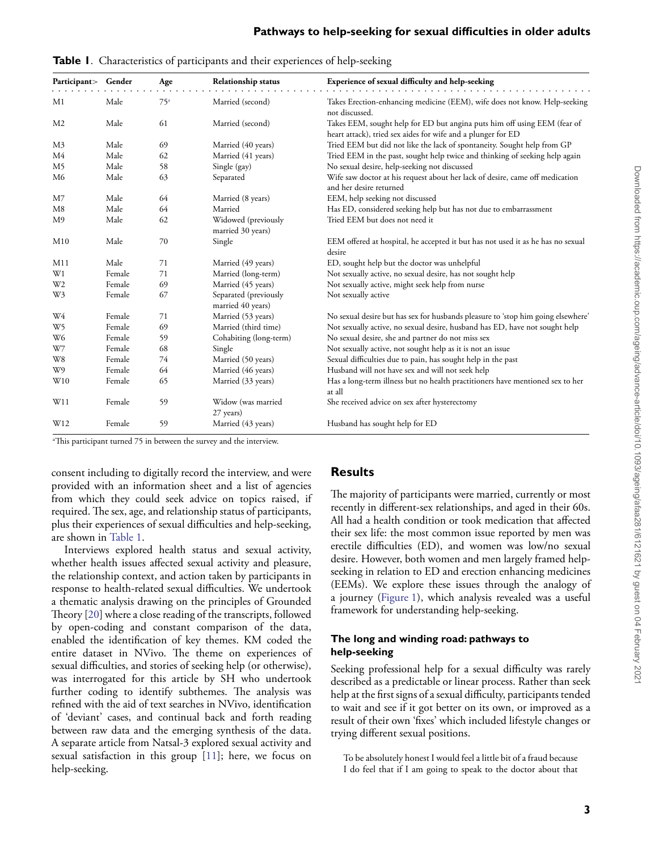| Participant>   | Gender | Age             | Relationship status                        | Experience of sexual difficulty and help-seeking                                                                                         |
|----------------|--------|-----------------|--------------------------------------------|------------------------------------------------------------------------------------------------------------------------------------------|
| M1             | Male   | 75 <sup>a</sup> | Married (second)                           | Takes Erection-enhancing medicine (EEM), wife does not know. Help-seeking<br>not discussed.                                              |
| M <sub>2</sub> | Male   | 61              | Married (second)                           | Takes EEM, sought help for ED but angina puts him off using EEM (fear of<br>heart attack), tried sex aides for wife and a plunger for ED |
| M3             | Male   | 69              | Married (40 years)                         | Tried EEM but did not like the lack of spontaneity. Sought help from GP                                                                  |
| M4             | Male   | 62              | Married (41 years)                         | Tried EEM in the past, sought help twice and thinking of seeking help again                                                              |
| M <sub>5</sub> | Male   | 58              | Single (gay)                               | No sexual desire, help-seeking not discussed                                                                                             |
| M6             | Male   | 63              | Separated                                  | Wife saw doctor at his request about her lack of desire, came off medication<br>and her desire returned                                  |
| M <sub>7</sub> | Male   | 64              | Married (8 years)                          | EEM, help seeking not discussed                                                                                                          |
| M8             | Male   | 64              | Married                                    | Has ED, considered seeking help but has not due to embarrassment                                                                         |
| M9             | Male   | 62              | Widowed (previously<br>married 30 years)   | Tried EEM but does not need it                                                                                                           |
| M10            | Male   | 70              | Single                                     | EEM offered at hospital, he accepted it but has not used it as he has no sexual<br>desire                                                |
| M11            | Male   | 71              | Married (49 years)                         | ED, sought help but the doctor was unhelpful                                                                                             |
| W1             | Female | 71              | Married (long-term)                        | Not sexually active, no sexual desire, has not sought help                                                                               |
| W <sub>2</sub> | Female | 69              | Married (45 years)                         | Not sexually active, might seek help from nurse                                                                                          |
| W3             | Female | 67              | Separated (previously<br>married 40 years) | Not sexually active                                                                                                                      |
| W4             | Female | 71              | Married (53 years)                         | No sexual desire but has sex for husbands pleasure to 'stop him going elsewhere'                                                         |
| W <sub>5</sub> | Female | 69              | Married (third time)                       | Not sexually active, no sexual desire, husband has ED, have not sought help                                                              |
| W <sub>6</sub> | Female | 59              | Cohabiting (long-term)                     | No sexual desire, she and partner do not miss sex                                                                                        |
| W7             | Female | 68              | Single                                     | Not sexually active, not sought help as it is not an issue                                                                               |
| W8             | Female | 74              | Married (50 years)                         | Sexual difficulties due to pain, has sought help in the past                                                                             |
| W9             | Female | 64              | Married (46 years)                         | Husband will not have sex and will not seek help                                                                                         |
| W10            | Female | 65              | Married (33 years)                         | Has a long-term illness but no health practitioners have mentioned sex to her<br>at all                                                  |
| W11            | Female | 59              | Widow (was married<br>27 years)            | She received advice on sex after hysterectomy                                                                                            |
| W12            | Female | 59              | Married (43 years)                         | Husband has sought help for ED                                                                                                           |

<span id="page-2-0"></span>**Table 1**. Characteristics of participants and their experiences of help-seeking

a This participant turned 75 in between the survey and the interview.

consent including to digitally record the interview, and were provided with an information sheet and a list of agencies from which they could seek advice on topics raised, if required. The sex, age, and relationship status of participants, plus their experiences of sexual difficulties and help-seeking, are shown in [Table 1.](#page-2-0)

Interviews explored health status and sexual activity, whether health issues affected sexual activity and pleasure, the relationship context, and action taken by participants in response to health-related sexual difficulties. We undertook a thematic analysis drawing on the principles of Grounded Theory [\[20\]](#page-7-14) where a close reading of the transcripts, followed by open-coding and constant comparison of the data, enabled the identification of key themes. KM coded the entire dataset in NVivo. The theme on experiences of sexual difficulties, and stories of seeking help (or otherwise), was interrogated for this article by SH who undertook further coding to identify subthemes. The analysis was refined with the aid of text searches in NVivo, identification of 'deviant' cases, and continual back and forth reading between raw data and the emerging synthesis of the data. A separate article from Natsal-3 explored sexual activity and sexual satisfaction in this group [\[11\]](#page-7-6); here, we focus on help-seeking.

# **Results**

The majority of participants were married, currently or most recently in different-sex relationships, and aged in their 60s. All had a health condition or took medication that affected their sex life: the most common issue reported by men was erectile difficulties (ED), and women was low/no sexual desire. However, both women and men largely framed helpseeking in relation to ED and erection enhancing medicines (EEMs). We explore these issues through the analogy of a journey [\(Figure 1\)](#page-4-0), which analysis revealed was a useful framework for understanding help-seeking.

#### **The long and winding road: pathways to help-seeking**

Seeking professional help for a sexual difficulty was rarely described as a predictable or linear process. Rather than seek help at the first signs of a sexual difficulty, participants tended to wait and see if it got better on its own, or improved as a result of their own 'fixes' which included lifestyle changes or trying different sexual positions.

To be absolutely honest I would feel a little bit of a fraud because I do feel that if I am going to speak to the doctor about that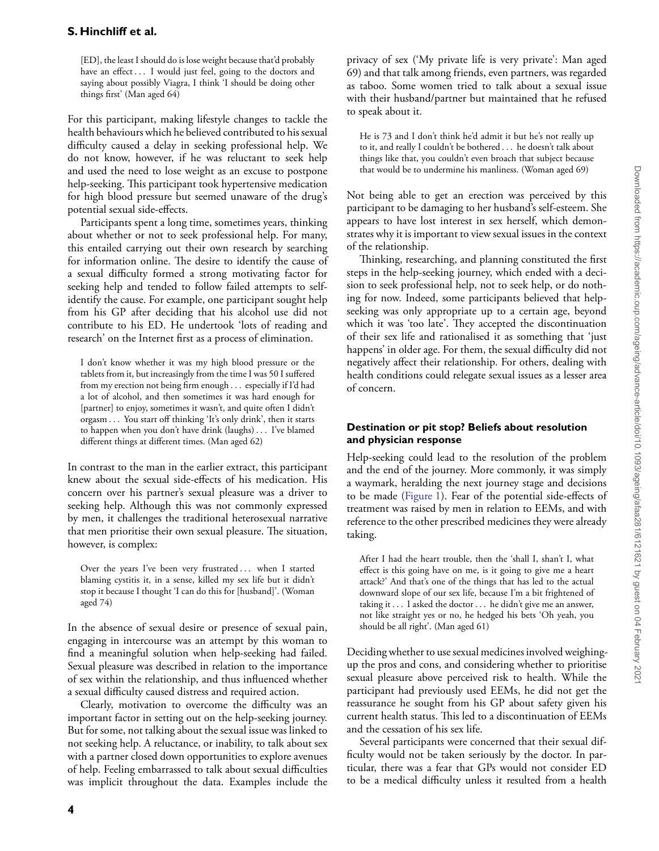[ED], the least I should do is lose weight because that'd probably have an effect *...* I would just feel, going to the doctors and saying about possibly Viagra, I think 'I should be doing other things first' (Man aged 64)

For this participant, making lifestyle changes to tackle the health behaviours which he believed contributed to his sexual difficulty caused a delay in seeking professional help. We do not know, however, if he was reluctant to seek help and used the need to lose weight as an excuse to postpone help-seeking. This participant took hypertensive medication for high blood pressure but seemed unaware of the drug's potential sexual side-effects.

Participants spent a long time, sometimes years, thinking about whether or not to seek professional help. For many, this entailed carrying out their own research by searching for information online. The desire to identify the cause of a sexual difficulty formed a strong motivating factor for seeking help and tended to follow failed attempts to selfidentify the cause. For example, one participant sought help from his GP after deciding that his alcohol use did not contribute to his ED. He undertook 'lots of reading and research' on the Internet first as a process of elimination.

I don't know whether it was my high blood pressure or the tablets from it, but increasingly from the time I was 50 I suffered from my erection not being firm enough *...* especially if I'd had a lot of alcohol, and then sometimes it was hard enough for [partner] to enjoy, sometimes it wasn't, and quite often I didn't orgasm *...* You start off thinking 'It's only drink', then it starts to happen when you don't have drink (laughs) *...* I've blamed different things at different times. (Man aged 62)

In contrast to the man in the earlier extract, this participant knew about the sexual side-effects of his medication. His concern over his partner's sexual pleasure was a driver to seeking help. Although this was not commonly expressed by men, it challenges the traditional heterosexual narrative that men prioritise their own sexual pleasure. The situation, however, is complex:

Over the years I've been very frustrated *...* when I started blaming cystitis it, in a sense, killed my sex life but it didn't stop it because I thought 'I can do this for [husband]'. (Woman aged 74)

In the absence of sexual desire or presence of sexual pain, engaging in intercourse was an attempt by this woman to find a meaningful solution when help-seeking had failed. Sexual pleasure was described in relation to the importance of sex within the relationship, and thus influenced whether a sexual difficulty caused distress and required action.

Clearly, motivation to overcome the difficulty was an important factor in setting out on the help-seeking journey. But for some, not talking about the sexual issue was linked to not seeking help. A reluctance, or inability, to talk about sex with a partner closed down opportunities to explore avenues of help. Feeling embarrassed to talk about sexual difficulties was implicit throughout the data. Examples include the privacy of sex ('My private life is very private': Man aged 69) and that talk among friends, even partners, was regarded as taboo. Some women tried to talk about a sexual issue with their husband/partner but maintained that he refused to speak about it.

He is 73 and I don't think he'd admit it but he's not really up to it, and really I couldn't be bothered *...* he doesn't talk about things like that, you couldn't even broach that subject because that would be to undermine his manliness. (Woman aged 69)

Not being able to get an erection was perceived by this participant to be damaging to her husband's self-esteem. She appears to have lost interest in sex herself, which demonstrates why it is important to view sexual issues in the context of the relationship.

Thinking, researching, and planning constituted the first steps in the help-seeking journey, which ended with a decision to seek professional help, not to seek help, or do nothing for now. Indeed, some participants believed that helpseeking was only appropriate up to a certain age, beyond which it was 'too late'. They accepted the discontinuation of their sex life and rationalised it as something that 'just happens' in older age. For them, the sexual difficulty did not negatively affect their relationship. For others, dealing with health conditions could relegate sexual issues as a lesser area of concern.

### **Destination or pit stop? Beliefs about resolution and physician response**

Help-seeking could lead to the resolution of the problem and the end of the journey. More commonly, it was simply a waymark, heralding the next journey stage and decisions to be made [\(Figure 1\)](#page-4-0). Fear of the potential side-effects of treatment was raised by men in relation to EEMs, and with reference to the other prescribed medicines they were already taking.

After I had the heart trouble, then the 'shall I, shan't I, what effect is this going have on me, is it going to give me a heart attack?' And that's one of the things that has led to the actual downward slope of our sex life, because I'm a bit frightened of taking it *...* I asked the doctor *...* he didn't give me an answer, not like straight yes or no, he hedged his bets 'Oh yeah, you should be all right'. (Man aged 61)

Deciding whether to use sexual medicines involved weighingup the pros and cons, and considering whether to prioritise sexual pleasure above perceived risk to health. While the participant had previously used EEMs, he did not get the reassurance he sought from his GP about safety given his current health status. This led to a discontinuation of EEMs and the cessation of his sex life.

Several participants were concerned that their sexual difficulty would not be taken seriously by the doctor. In particular, there was a fear that GPs would not consider ED to be a medical difficulty unless it resulted from a health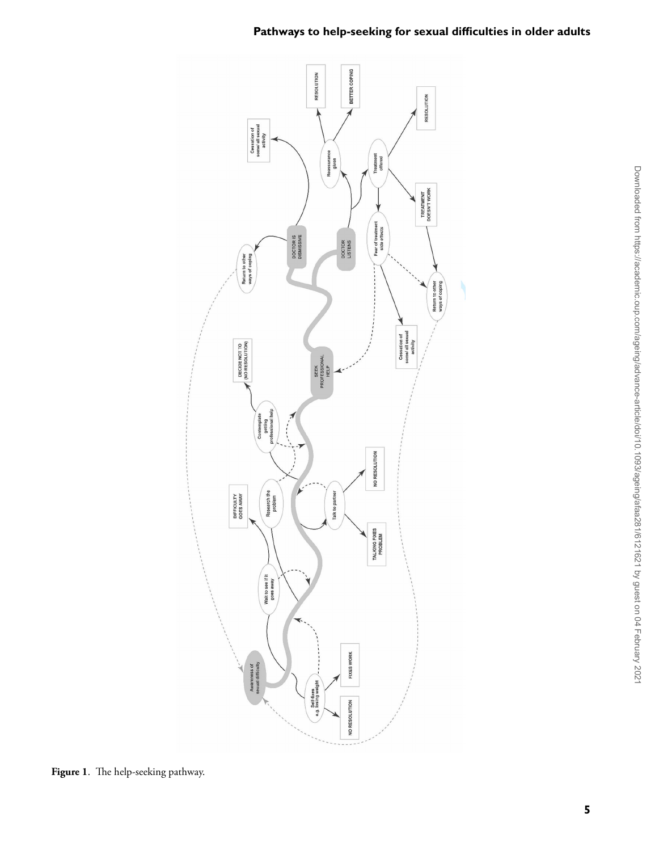



<span id="page-4-0"></span>**Figure 1**. The help-seeking pathway.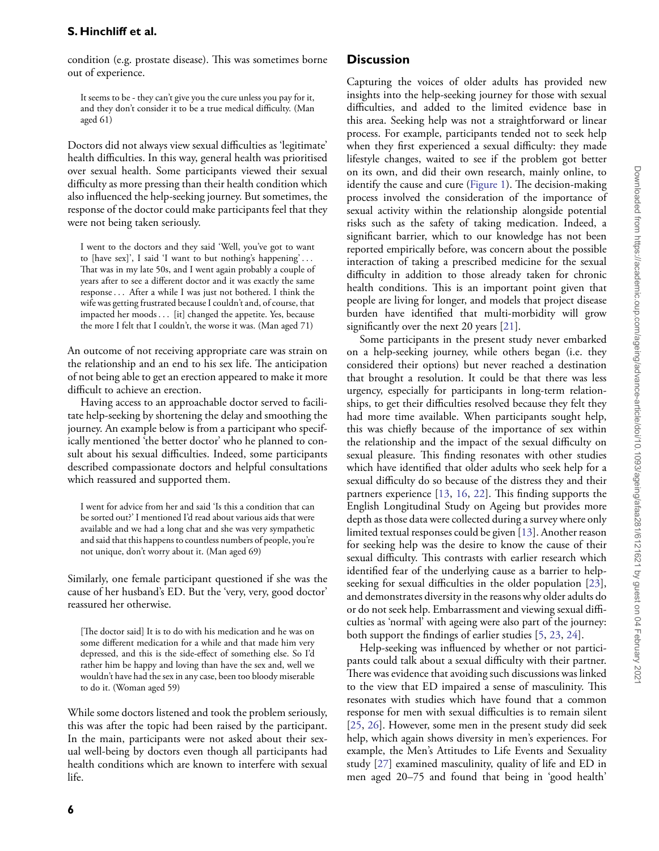condition (e.g. prostate disease). This was sometimes borne out of experience.

It seems to be - they can't give you the cure unless you pay for it, and they don't consider it to be a true medical difficulty. (Man aged 61)

Doctors did not always view sexual difficulties as 'legitimate' health difficulties. In this way, general health was prioritised over sexual health. Some participants viewed their sexual difficulty as more pressing than their health condition which also influenced the help-seeking journey. But sometimes, the response of the doctor could make participants feel that they were not being taken seriously.

I went to the doctors and they said 'Well, you've got to want to [have sex]', I said 'I want to but nothing's happening' *...* That was in my late 50s, and I went again probably a couple of years after to see a different doctor and it was exactly the same response*...* After a while I was just not bothered. I think the wife was getting frustrated because I couldn't and, of course, that impacted her moods *...* [it] changed the appetite. Yes, because the more I felt that I couldn't, the worse it was. (Man aged 71)

An outcome of not receiving appropriate care was strain on the relationship and an end to his sex life. The anticipation of not being able to get an erection appeared to make it more difficult to achieve an erection.

Having access to an approachable doctor served to facilitate help-seeking by shortening the delay and smoothing the journey. An example below is from a participant who specifically mentioned 'the better doctor' who he planned to consult about his sexual difficulties. Indeed, some participants described compassionate doctors and helpful consultations which reassured and supported them.

I went for advice from her and said 'Is this a condition that can be sorted out?' I mentioned I'd read about various aids that were available and we had a long chat and she was very sympathetic and said that this happens to countless numbers of people, you're not unique, don't worry about it. (Man aged 69)

Similarly, one female participant questioned if she was the cause of her husband's ED. But the 'very, very, good doctor' reassured her otherwise.

[The doctor said] It is to do with his medication and he was on some different medication for a while and that made him very depressed, and this is the side-effect of something else. So I'd rather him be happy and loving than have the sex and, well we wouldn't have had the sex in any case, been too bloody miserable to do it. (Woman aged 59)

While some doctors listened and took the problem seriously, this was after the topic had been raised by the participant. In the main, participants were not asked about their sexual well-being by doctors even though all participants had health conditions which are known to interfere with sexual life.

## **Discussion**

Capturing the voices of older adults has provided new insights into the help-seeking journey for those with sexual difficulties, and added to the limited evidence base in this area. Seeking help was not a straightforward or linear process. For example, participants tended not to seek help when they first experienced a sexual difficulty: they made lifestyle changes, waited to see if the problem got better on its own, and did their own research, mainly online, to identify the cause and cure [\(Figure 1\)](#page-4-0). The decision-making process involved the consideration of the importance of sexual activity within the relationship alongside potential risks such as the safety of taking medication. Indeed, a significant barrier, which to our knowledge has not been reported empirically before, was concern about the possible interaction of taking a prescribed medicine for the sexual difficulty in addition to those already taken for chronic health conditions. This is an important point given that people are living for longer, and models that project disease burden have identified that multi-morbidity will grow significantly over the next 20 years [\[21\]](#page-7-15).

Some participants in the present study never embarked on a help-seeking journey, while others began (i.e. they considered their options) but never reached a destination that brought a resolution. It could be that there was less urgency, especially for participants in long-term relationships, to get their difficulties resolved because they felt they had more time available. When participants sought help, this was chiefly because of the importance of sex within the relationship and the impact of the sexual difficulty on sexual pleasure. This finding resonates with other studies which have identified that older adults who seek help for a sexual difficulty do so because of the distress they and their partners experience [\[13,](#page-7-8) [16,](#page-7-10) [22\]](#page-7-16). This finding supports the English Longitudinal Study on Ageing but provides more depth as those data were collected during a survey where only limited textual responses could be given [\[13\]](#page-7-8). Another reason for seeking help was the desire to know the cause of their sexual difficulty. This contrasts with earlier research which identified fear of the underlying cause as a barrier to helpseeking for sexual difficulties in the older population [\[23\]](#page-7-17), and demonstrates diversity in the reasons why older adults do or do not seek help. Embarrassment and viewing sexual difficulties as 'normal' with ageing were also part of the journey: both support the findings of earlier studies [\[5,](#page-7-0) [23,](#page-7-17) [24\]](#page-7-18).

Help-seeking was influenced by whether or not participants could talk about a sexual difficulty with their partner. There was evidence that avoiding such discussions was linked to the view that ED impaired a sense of masculinity. This resonates with studies which have found that a common response for men with sexual difficulties is to remain silent [\[25,](#page-7-19) [26\]](#page-7-20). However, some men in the present study did seek help, which again shows diversity in men's experiences. For example, the Men's Attitudes to Life Events and Sexuality study [\[27\]](#page-7-21) examined masculinity, quality of life and ED in men aged 20–75 and found that being in 'good health'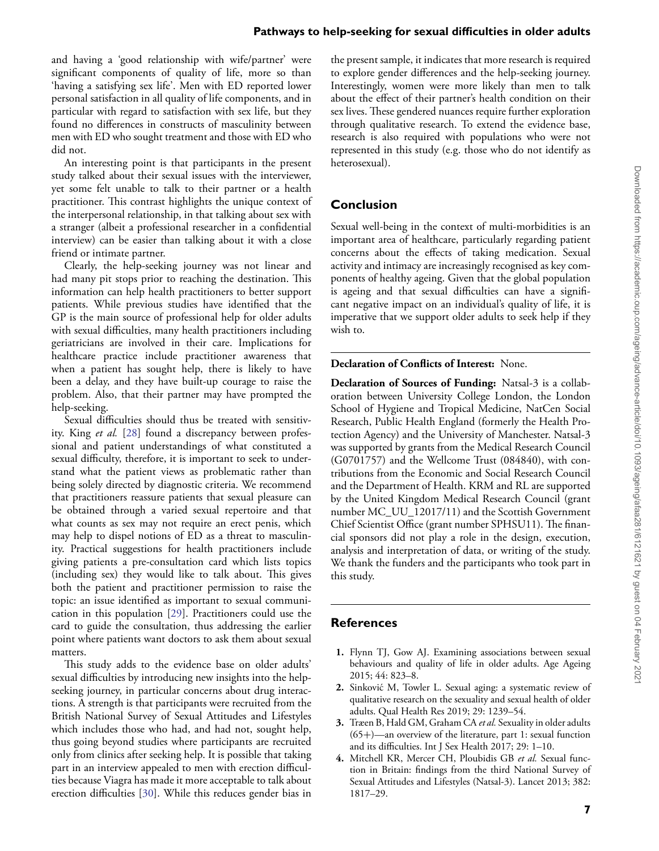and having a 'good relationship with wife/partner' were significant components of quality of life, more so than 'having a satisfying sex life'. Men with ED reported lower personal satisfaction in all quality of life components, and in particular with regard to satisfaction with sex life, but they found no differences in constructs of masculinity between men with ED who sought treatment and those with ED who did not.

An interesting point is that participants in the present study talked about their sexual issues with the interviewer, yet some felt unable to talk to their partner or a health practitioner. This contrast highlights the unique context of the interpersonal relationship, in that talking about sex with a stranger (albeit a professional researcher in a confidential interview) can be easier than talking about it with a close friend or intimate partner.

Clearly, the help-seeking journey was not linear and had many pit stops prior to reaching the destination. This information can help health practitioners to better support patients. While previous studies have identified that the GP is the main source of professional help for older adults with sexual difficulties, many health practitioners including geriatricians are involved in their care. Implications for healthcare practice include practitioner awareness that when a patient has sought help, there is likely to have been a delay, and they have built-up courage to raise the problem. Also, that their partner may have prompted the help-seeking.

Sexual difficulties should thus be treated with sensitivity. King *et al.* [\[28\]](#page-7-22) found a discrepancy between professional and patient understandings of what constituted a sexual difficulty, therefore, it is important to seek to understand what the patient views as problematic rather than being solely directed by diagnostic criteria. We recommend that practitioners reassure patients that sexual pleasure can be obtained through a varied sexual repertoire and that what counts as sex may not require an erect penis, which may help to dispel notions of ED as a threat to masculinity. Practical suggestions for health practitioners include giving patients a pre-consultation card which lists topics (including sex) they would like to talk about. This gives both the patient and practitioner permission to raise the topic: an issue identified as important to sexual communication in this population [\[29\]](#page-7-23). Practitioners could use the card to guide the consultation, thus addressing the earlier point where patients want doctors to ask them about sexual matters.

This study adds to the evidence base on older adults' sexual difficulties by introducing new insights into the helpseeking journey, in particular concerns about drug interactions. A strength is that participants were recruited from the British National Survey of Sexual Attitudes and Lifestyles which includes those who had, and had not, sought help, thus going beyond studies where participants are recruited only from clinics after seeking help. It is possible that taking part in an interview appealed to men with erection difficulties because Viagra has made it more acceptable to talk about erection difficulties [\[30\]](#page-7-24). While this reduces gender bias in

the present sample, it indicates that more research is required to explore gender differences and the help-seeking journey. Interestingly, women were more likely than men to talk about the effect of their partner's health condition on their sex lives. These gendered nuances require further exploration through qualitative research. To extend the evidence base, research is also required with populations who were not represented in this study (e.g. those who do not identify as heterosexual).

#### **Conclusion**

Sexual well-being in the context of multi-morbidities is an important area of healthcare, particularly regarding patient concerns about the effects of taking medication. Sexual activity and intimacy are increasingly recognised as key components of healthy ageing. Given that the global population is ageing and that sexual difficulties can have a significant negative impact on an individual's quality of life, it is imperative that we support older adults to seek help if they wish to.

**Declaration of Conflicts of Interest:** None.

**Declaration of Sources of Funding:** Natsal-3 is a collaboration between University College London, the London School of Hygiene and Tropical Medicine, NatCen Social Research, Public Health England (formerly the Health Protection Agency) and the University of Manchester. Natsal-3 was supported by grants from the Medical Research Council (G0701757) and the Wellcome Trust (084840), with contributions from the Economic and Social Research Council and the Department of Health. KRM and RL are supported by the United Kingdom Medical Research Council (grant number MC\_UU\_12017/11) and the Scottish Government Chief Scientist Office (grant number SPHSU11). The financial sponsors did not play a role in the design, execution, analysis and interpretation of data, or writing of the study. We thank the funders and the participants who took part in this study.

#### **References**

- <span id="page-6-0"></span>**1.** Flynn TJ, Gow AJ. Examining associations between sexual behaviours and quality of life in older adults. Age Ageing 2015; 44: 823–8.
- <span id="page-6-1"></span>**2.** Sinkovic M, Towler L. Sexual aging: a systematic review of ´ qualitative research on the sexuality and sexual health of older adults. Qual Health Res 2019; 29: 1239–54.
- <span id="page-6-2"></span>**3.** Træen B, Hald GM, Graham CA *et al.* Sexuality in older adults  $(65+)$ —an overview of the literature, part 1: sexual function and its difficulties. Int J Sex Health 2017; 29: 1–10.
- <span id="page-6-3"></span>**4.** Mitchell KR, Mercer CH, Ploubidis GB *et al.* Sexual function in Britain: findings from the third National Survey of Sexual Attitudes and Lifestyles (Natsal-3). Lancet 2013; 382: 1817–29.